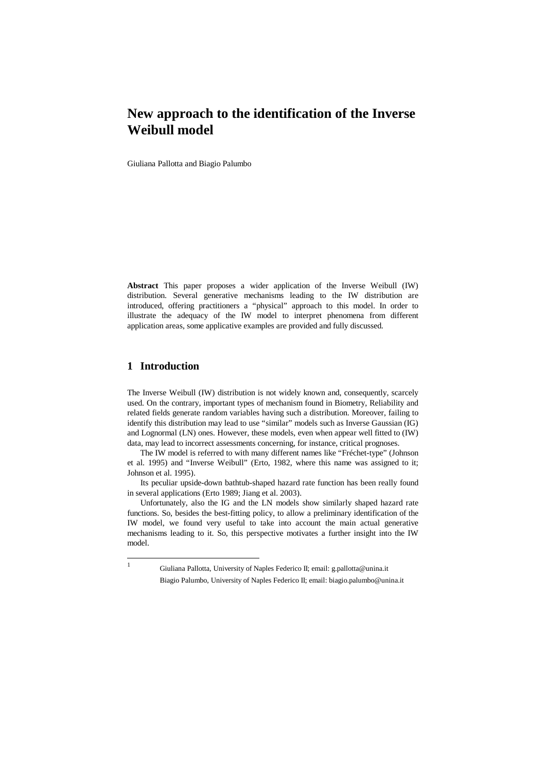# **New approach to the identification of the Inverse Weibull model**

Giuliana Pallotta and Biagio Palumbo

**Abstract** This paper proposes a wider application of the Inverse Weibull (IW) distribution. Several generative mechanisms leading to the IW distribution are introduced, offering practitioners a "physical" approach to this model. In order to illustrate the adequacy of the IW model to interpret phenomena from different application areas, some applicative examples are provided and fully discussed.

### **1 Introduction**

The Inverse Weibull (IW) distribution is not widely known and, consequently, scarcely used. On the contrary, important types of mechanism found in Biometry, Reliability and related fields generate random variables having such a distribution. Moreover, failing to identify this distribution may lead to use "similar" models such as Inverse Gaussian (IG) and Lognormal (LN) ones. However, these models, even when appear well fitted to (IW) data, may lead to incorrect assessments concerning, for instance, critical prognoses.

The IW model is referred to with many different names like "Fréchet-type" (Johnson et al. 1995) and "Inverse Weibull" (Erto, 1982, where this name was assigned to it; Johnson et al. 1995).

Its peculiar upside-down bathtub-shaped hazard rate function has been really found in several applications (Erto 1989; Jiang et al. 2003).

Unfortunately, also the IG and the LN models show similarly shaped hazard rate functions. So, besides the best-fitting policy, to allow a preliminary identification of the IW model, we found very useful to take into account the main actual generative mechanisms leading to it. So, this perspective motivates a further insight into the IW model.

 1 Giuliana Pallotta, University of Naples Federico II; email: g.pallotta@unina.it Biagio Palumbo, University of Naples Federico II; email: biagio.palumbo@unina.it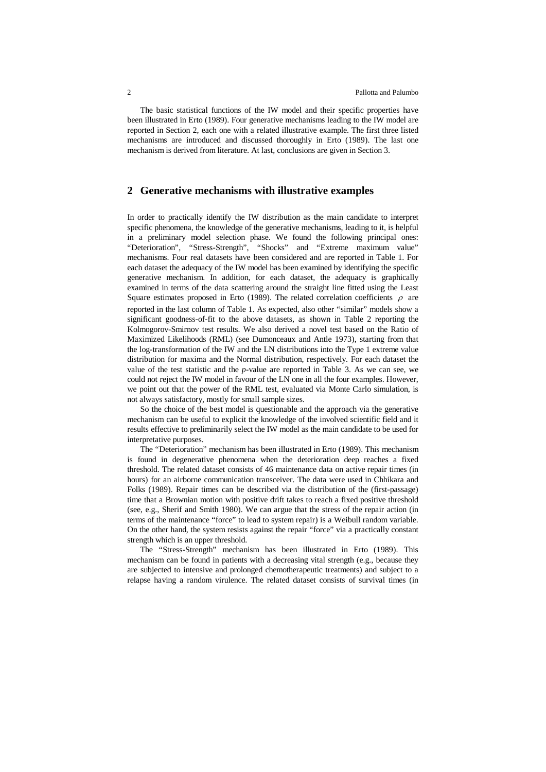The basic statistical functions of the IW model and their specific properties have been illustrated in Erto (1989). Four generative mechanisms leading to the IW model are reported in Section 2, each one with a related illustrative example. The first three listed mechanisms are introduced and discussed thoroughly in Erto (1989). The last one mechanism is derived from literature. At last, conclusions are given in Section 3.

# **2 Generative mechanisms with illustrative examples**

In order to practically identify the IW distribution as the main candidate to interpret specific phenomena, the knowledge of the generative mechanisms, leading to it, is helpful in a preliminary model selection phase. We found the following principal ones: "Deterioration", "Stress-Strength", "Shocks" and "Extreme maximum value" mechanisms. Four real datasets have been considered and are reported in Table 1. For each dataset the adequacy of the IW model has been examined by identifying the specific generative mechanism. In addition, for each dataset, the adequacy is graphically examined in terms of the data scattering around the straight line fitted using the Least Square estimates proposed in Erto (1989). The related correlation coefficients  $\rho$  are reported in the last column of Table 1. As expected, also other "similar" models show a significant goodness-of-fit to the above datasets, as shown in Table 2 reporting the Kolmogorov-Smirnov test results. We also derived a novel test based on the Ratio of Maximized Likelihoods (RML) (see Dumonceaux and Antle 1973), starting from that the log-transformation of the IW and the LN distributions into the Type 1 extreme value distribution for maxima and the Normal distribution, respectively. For each dataset the value of the test statistic and the *p*-value are reported in Table 3. As we can see, we could not reject the IW model in favour of the LN one in all the four examples. However, we point out that the power of the RML test, evaluated via Monte Carlo simulation, is not always satisfactory, mostly for small sample sizes.

So the choice of the best model is questionable and the approach via the generative mechanism can be useful to explicit the knowledge of the involved scientific field and it results effective to preliminarily select the IW model as the main candidate to be used for interpretative purposes.

The "Deterioration" mechanism has been illustrated in Erto (1989). This mechanism is found in degenerative phenomena when the deterioration deep reaches a fixed threshold. The related dataset consists of 46 maintenance data on active repair times (in hours) for an airborne communication transceiver. The data were used in Chhikara and Folks (1989). Repair times can be described via the distribution of the (first-passage) time that a Brownian motion with positive drift takes to reach a fixed positive threshold (see, e.g., Sherif and Smith 1980). We can argue that the stress of the repair action (in terms of the maintenance "force" to lead to system repair) is a Weibull random variable. On the other hand, the system resists against the repair "force" via a practically constant strength which is an upper threshold.

The "Stress-Strength" mechanism has been illustrated in Erto (1989). This mechanism can be found in patients with a decreasing vital strength (e.g., because they are subjected to intensive and prolonged chemotherapeutic treatments) and subject to a relapse having a random virulence. The related dataset consists of survival times (in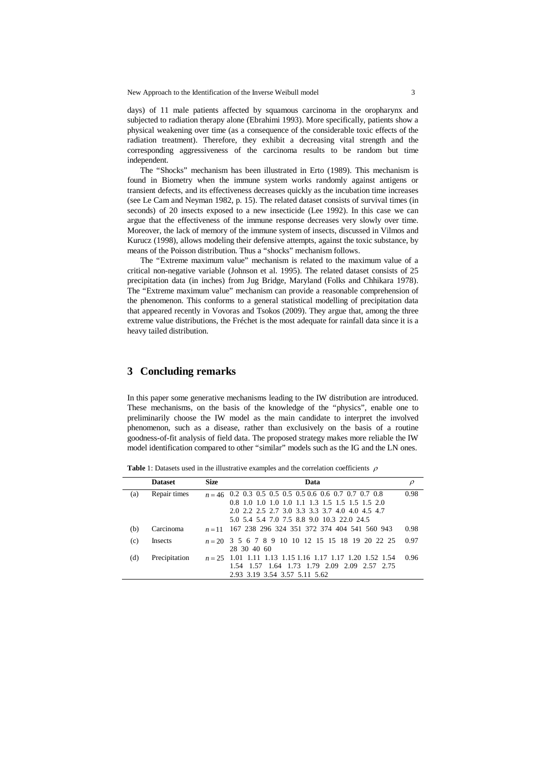New Approach to the Identification of the Inverse Weibull model 3

days) of 11 male patients affected by squamous carcinoma in the oropharynx and subjected to radiation therapy alone (Ebrahimi 1993). More specifically, patients show a physical weakening over time (as a consequence of the considerable toxic effects of the radiation treatment). Therefore, they exhibit a decreasing vital strength and the corresponding aggressiveness of the carcinoma results to be random but time independent.

The "Shocks" mechanism has been illustrated in Erto (1989). This mechanism is found in Biometry when the immune system works randomly against antigens or transient defects, and its effectiveness decreases quickly as the incubation time increases (see Le Cam and Neyman 1982, p. 15). The related dataset consists of survival times (in seconds) of 20 insects exposed to a new insecticide (Lee 1992). In this case we can argue that the effectiveness of the immune response decreases very slowly over time. Moreover, the lack of memory of the immune system of insects, discussed in Vilmos and Kurucz (1998), allows modeling their defensive attempts, against the toxic substance, by means of the Poisson distribution. Thus a "shocks" mechanism follows.

The "Extreme maximum value" mechanism is related to the maximum value of a critical non-negative variable (Johnson et al. 1995). The related dataset consists of 25 precipitation data (in inches) from Jug Bridge, Maryland (Folks and Chhikara 1978). The "Extreme maximum value" mechanism can provide a reasonable comprehension of the phenomenon. This conforms to a general statistical modelling of precipitation data that appeared recently in Vovoras and Tsokos (2009). They argue that, among the three extreme value distributions, the Fréchet is the most adequate for rainfall data since it is a heavy tailed distribution.

# **3 Concluding remarks**

In this paper some generative mechanisms leading to the IW distribution are introduced. These mechanisms, on the basis of the knowledge of the "physics", enable one to preliminarily choose the IW model as the main candidate to interpret the involved phenomenon, such as a disease, rather than exclusively on the basis of a routine goodness-of-fit analysis of field data. The proposed strategy makes more reliable the IW model identification compared to other "similar" models such as the IG and the LN ones.

**Table 1:** Datasets used in the illustrative examples and the correlation coefficients  $\rho$ 

|     | <b>Dataset</b> | <b>Size</b> | Data                                                       |      |
|-----|----------------|-------------|------------------------------------------------------------|------|
| (a) | Repair times   |             | $n = 46$ 0.2 0.3 0.5 0.5 0.5 0.5 0.6 0.6 0.7 0.7 0.7 0.8   | 0.98 |
|     |                |             | 0.8 1.0 1.0 1.0 1.0 1.1 1.3 1.5 1.5 1.5 1.5 2.0            |      |
|     |                |             | 2.0 2.2 2.5 2.7 3.0 3.3 3.3 3.7 4.0 4.0 4.5 4.7            |      |
|     |                |             | 5.0 5.4 5.4 7.0 7.5 8.8 9.0 10.3 22.0 24.5                 |      |
| (b) | Carcinoma      | $n=11$      | 167 238 296 324 351 372 374 404 541 560 943                | 0.98 |
| (c) | <b>Insects</b> |             | $n = 20$ 3 5 6 7 8 9 10 10 12 15 15 18 19 20 22 25         | 0.97 |
|     |                |             | 28 30 40 60                                                |      |
| (d) | Precipitation  |             | $n = 25$ 1.01 1.11 1.13 1.15 1.16 1.17 1.17 1.20 1.52 1.54 | 0.96 |
|     |                |             | 1.54 1.57 1.64 1.73 1.79 2.09 2.09 2.57 2.75               |      |
|     |                |             | 2.93 3.19 3.54 3.57 5.11 5.62                              |      |